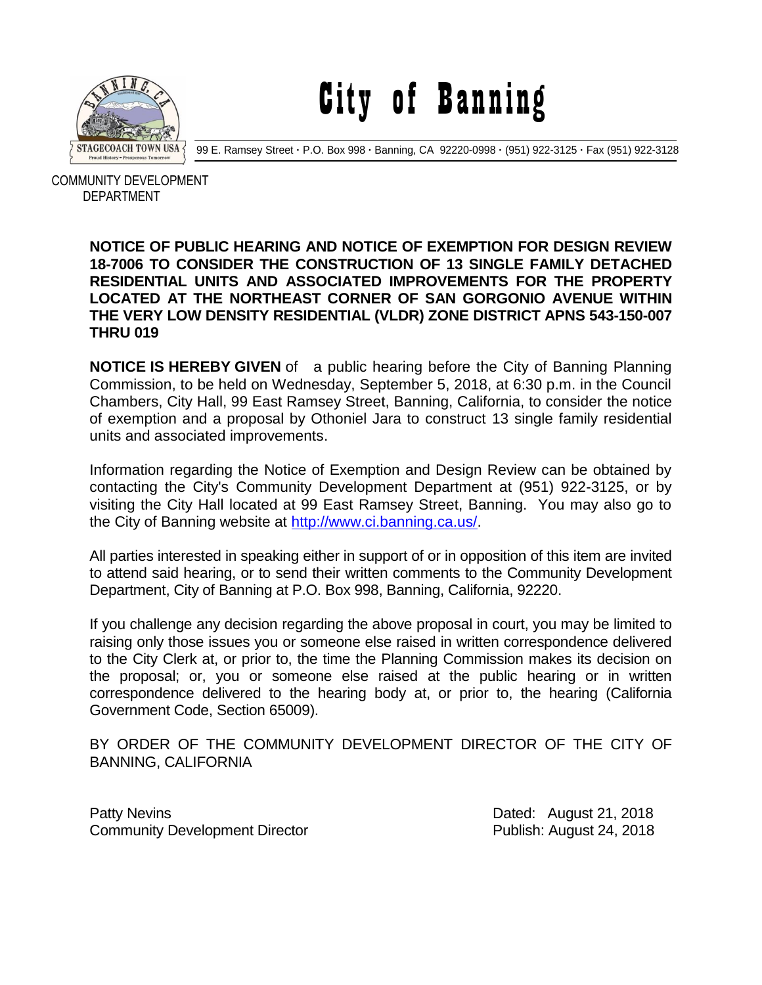

City of Banning

99 E. Ramsey Street **·** P.O. Box 998 **·** Banning, CA 92220-0998 **·** (951) 922-3125 **·** Fax (951) 922-3128

 COMMUNITY DEVELOPMENT DEPARTMENT

## **NOTICE OF PUBLIC HEARING AND NOTICE OF EXEMPTION FOR DESIGN REVIEW 18-7006 TO CONSIDER THE CONSTRUCTION OF 13 SINGLE FAMILY DETACHED RESIDENTIAL UNITS AND ASSOCIATED IMPROVEMENTS FOR THE PROPERTY LOCATED AT THE NORTHEAST CORNER OF SAN GORGONIO AVENUE WITHIN THE VERY LOW DENSITY RESIDENTIAL (VLDR) ZONE DISTRICT APNS 543-150-007 THRU 019**

**NOTICE IS HEREBY GIVEN** of a public hearing before the City of Banning Planning Commission, to be held on Wednesday, September 5, 2018, at 6:30 p.m. in the Council Chambers, City Hall, 99 East Ramsey Street, Banning, California, to consider the notice of exemption and a proposal by Othoniel Jara to construct 13 single family residential units and associated improvements.

Information regarding the Notice of Exemption and Design Review can be obtained by contacting the City's Community Development Department at (951) 922-3125, or by visiting the City Hall located at 99 East Ramsey Street, Banning. You may also go to the City of Banning website at [http://www.ci.banning.ca.us/.](http://www.ci.banning.ca.us/)

All parties interested in speaking either in support of or in opposition of this item are invited to attend said hearing, or to send their written comments to the Community Development Department, City of Banning at P.O. Box 998, Banning, California, 92220.

If you challenge any decision regarding the above proposal in court, you may be limited to raising only those issues you or someone else raised in written correspondence delivered to the City Clerk at, or prior to, the time the Planning Commission makes its decision on the proposal; or, you or someone else raised at the public hearing or in written correspondence delivered to the hearing body at, or prior to, the hearing (California Government Code, Section 65009).

BY ORDER OF THE COMMUNITY DEVELOPMENT DIRECTOR OF THE CITY OF BANNING, CALIFORNIA

Patty Nevins **Patty News** 21, 2018 Community Development Director **Community Development Director Publish: August 24, 2018**